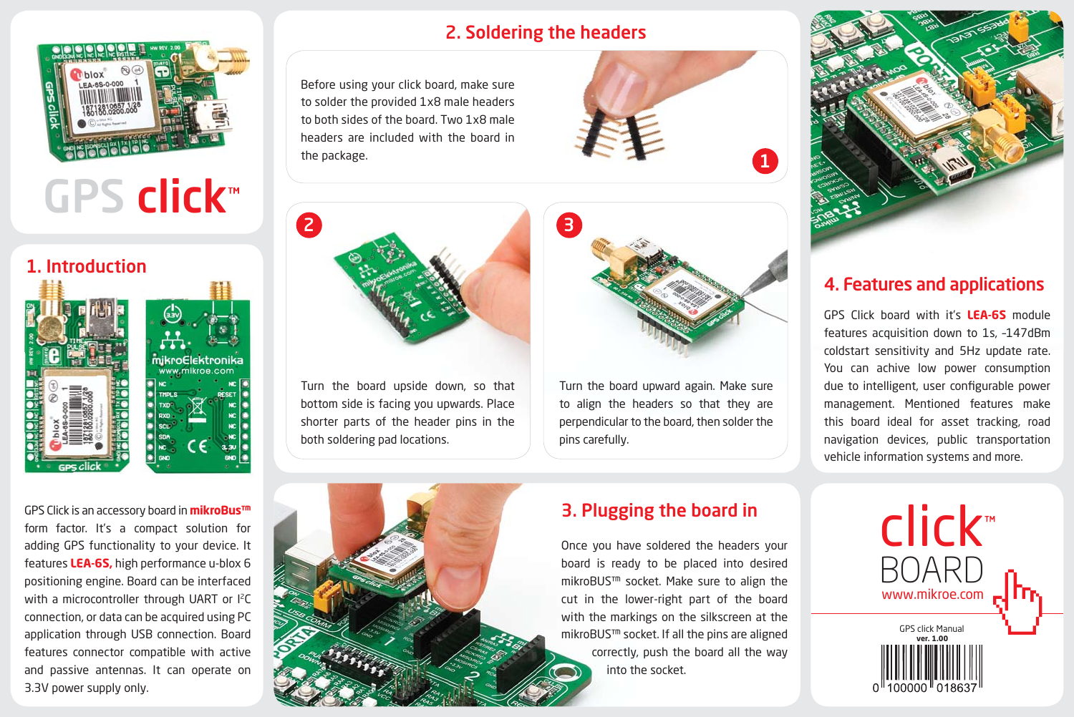

# GPS click™

## 1. Introduction



GPS Click is an accessory board in **mikroBus™**  form factor. It's a compact solution for adding GPS functionality to your device. It features **LEA-6S,** high performance u-blox 6 positioning engine. Board can be interfaced with a microcontroller through UART or I<sup>2</sup>C connection, or data can be acquired using PC application through USB connection. Board features connector compatible with active and passive antennas. It can operate on 3.3V power supply only.

# 2. Soldering the headers

Before using your click board, make sure to solder the provided 1x8 male headers to both sides of the board. Two 1x8 male headers are included with the board in the package.





Turn the board upward again. Make sure to align the headers so that they are perpendicular to the board, then solder the pins carefully.



## 4. Features and applications

GPS Click board with it's **LEA-6S** module features acquisition down to 1s, –147dBm coldstart sensitivity and 5Hz update rate. You can achive low power consumption due to intelligent, user configurable power management. Mentioned features make this board ideal for asset tracking, road navigation devices, public transportation vehicle information systems and more.



Turn the board upside down, so that bottom side is facing you upwards. Place shorter parts of the header pins in the

both soldering pad locations.

# 3. Plugging the board in

Once you have soldered the headers your board is ready to be placed into desired mikroBUS™ socket. Make sure to align the cut in the lower-right part of the board with the markings on the silkscreen at the mikroBUS™ socket. If all the pins are aligned correctly, push the board all the way into the socket.